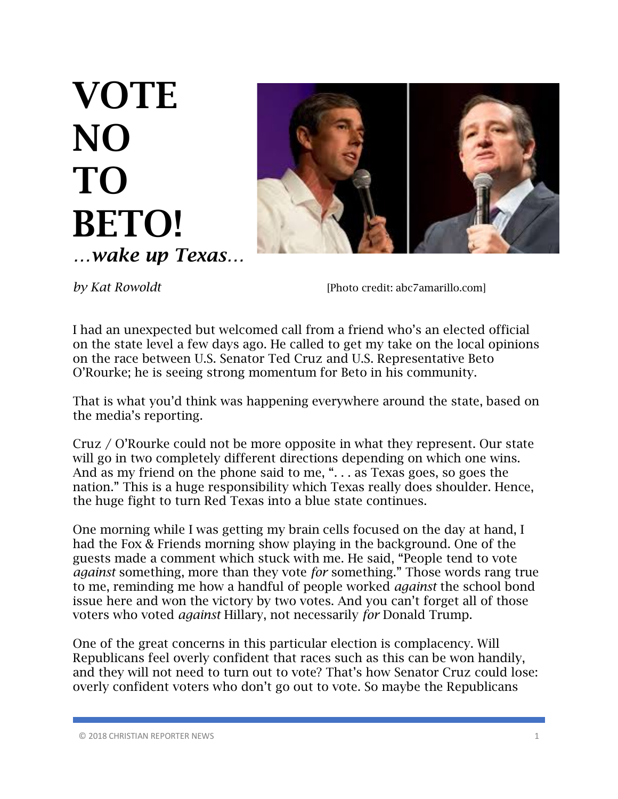## VOTE NO TO BETO! *…wake up Texas…*



*by Kat Rowoldt* [Photo credit: abc7amarillo.com]

I had an unexpected but welcomed call from a friend who's an elected official on the state level a few days ago. He called to get my take on the local opinions on the race between U.S. Senator Ted Cruz and U.S. Representative Beto O'Rourke; he is seeing strong momentum for Beto in his community.

That is what you'd think was happening everywhere around the state, based on the media's reporting.

Cruz / O'Rourke could not be more opposite in what they represent. Our state will go in two completely different directions depending on which one wins. And as my friend on the phone said to me, ". . . as Texas goes, so goes the nation." This is a huge responsibility which Texas really does shoulder. Hence, the huge fight to turn Red Texas into a blue state continues.

One morning while I was getting my brain cells focused on the day at hand, I had the Fox & Friends morning show playing in the background. One of the guests made a comment which stuck with me. He said, "People tend to vote *against* something, more than they vote *for* something." Those words rang true to me, reminding me how a handful of people worked *against* the school bond issue here and won the victory by two votes. And you can't forget all of those voters who voted *against* Hillary, not necessarily *for* Donald Trump.

One of the great concerns in this particular election is complacency. Will Republicans feel overly confident that races such as this can be won handily, and they will not need to turn out to vote? That's how Senator Cruz could lose: overly confident voters who don't go out to vote. So maybe the Republicans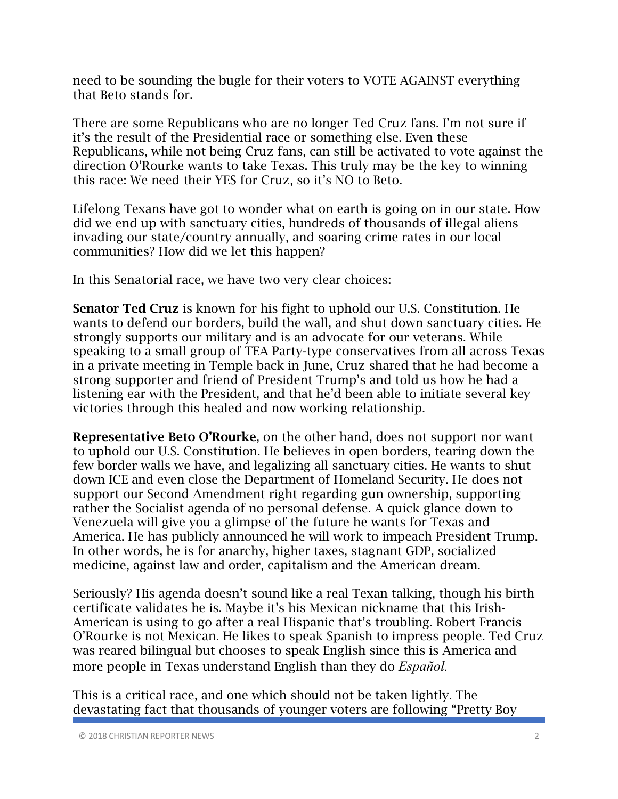need to be sounding the bugle for their voters to VOTE AGAINST everything that Beto stands for.

There are some Republicans who are no longer Ted Cruz fans. I'm not sure if it's the result of the Presidential race or something else. Even these Republicans, while not being Cruz fans, can still be activated to vote against the direction O'Rourke wants to take Texas. This truly may be the key to winning this race: We need their YES for Cruz, so it's NO to Beto.

Lifelong Texans have got to wonder what on earth is going on in our state. How did we end up with sanctuary cities, hundreds of thousands of illegal aliens invading our state/country annually, and soaring crime rates in our local communities? How did we let this happen?

In this Senatorial race, we have two very clear choices:

Senator Ted Cruz is known for his fight to uphold our U.S. Constitution. He wants to defend our borders, build the wall, and shut down sanctuary cities. He strongly supports our military and is an advocate for our veterans. While speaking to a small group of TEA Party-type conservatives from all across Texas in a private meeting in Temple back in June, Cruz shared that he had become a strong supporter and friend of President Trump's and told us how he had a listening ear with the President, and that he'd been able to initiate several key victories through this healed and now working relationship.

Representative Beto O'Rourke, on the other hand, does not support nor want to uphold our U.S. Constitution. He believes in open borders, tearing down the few border walls we have, and legalizing all sanctuary cities. He wants to shut down ICE and even close the Department of Homeland Security. He does not support our Second Amendment right regarding gun ownership, supporting rather the Socialist agenda of no personal defense. A quick glance down to Venezuela will give you a glimpse of the future he wants for Texas and America. He has publicly announced he will work to impeach President Trump. In other words, he is for anarchy, higher taxes, stagnant GDP, socialized medicine, against law and order, capitalism and the American dream.

Seriously? His agenda doesn't sound like a real Texan talking, though his birth certificate validates he is. Maybe it's his Mexican nickname that this Irish-American is using to go after a real Hispanic that's troubling. Robert Francis O'Rourke is not Mexican. He likes to speak Spanish to impress people. Ted Cruz was reared bilingual but chooses to speak English since this is America and more people in Texas understand English than they do *Español.*

This is a critical race, and one which should not be taken lightly. The devastating fact that thousands of younger voters are following "Pretty Boy